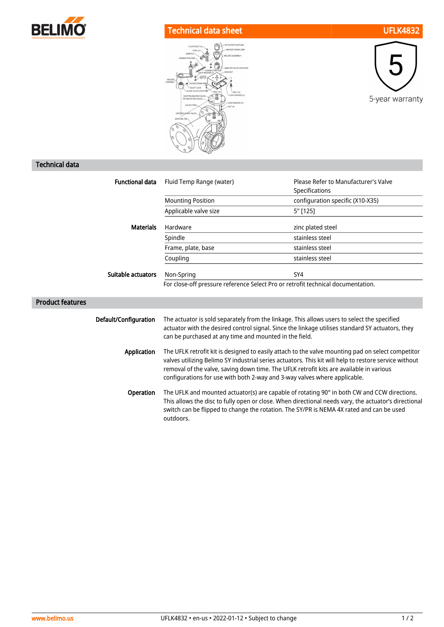

## Technical data sheet UFLK4832





## Technical data

| <b>Functional data</b>  | Fluid Temp Range (water)                                                                                                                                                                                                                                                                                                                                                           | Please Refer to Manufacturer's Valve<br>Specifications |
|-------------------------|------------------------------------------------------------------------------------------------------------------------------------------------------------------------------------------------------------------------------------------------------------------------------------------------------------------------------------------------------------------------------------|--------------------------------------------------------|
|                         | <b>Mounting Position</b>                                                                                                                                                                                                                                                                                                                                                           | configuration specific (X10-X35)                       |
|                         | Applicable valve size                                                                                                                                                                                                                                                                                                                                                              | 5" [125]                                               |
| <b>Materials</b>        | Hardware                                                                                                                                                                                                                                                                                                                                                                           | zinc plated steel                                      |
|                         | Spindle                                                                                                                                                                                                                                                                                                                                                                            | stainless steel                                        |
|                         | Frame, plate, base                                                                                                                                                                                                                                                                                                                                                                 | stainless steel                                        |
|                         | Coupling                                                                                                                                                                                                                                                                                                                                                                           | stainless steel                                        |
| Suitable actuators      | Non-Spring                                                                                                                                                                                                                                                                                                                                                                         | SY4                                                    |
|                         | For close-off pressure reference Select Pro or retrofit technical documentation.                                                                                                                                                                                                                                                                                                   |                                                        |
| <b>Product features</b> |                                                                                                                                                                                                                                                                                                                                                                                    |                                                        |
| Default/Configuration   | The actuator is sold separately from the linkage. This allows users to select the specified<br>actuator with the desired control signal. Since the linkage utilises standard SY actuators, they<br>can be purchased at any time and mounted in the field.                                                                                                                          |                                                        |
| Application             | The UFLK retrofit kit is designed to easily attach to the valve mounting pad on select competitor<br>valves utilizing Belimo SY industrial series actuators. This kit will help to restore service without<br>removal of the valve, saving down time. The UFLK retrofit kits are available in various<br>configurations for use with both 2-way and 3-way valves where applicable. |                                                        |
| Operation               | The UFLK and mounted actuator(s) are capable of rotating 90° in both CW and CCW directions.<br>This allows the disc to fully open or close. When directional needs vary, the actuator's directional<br>switch can be flipped to change the rotation. The SY/PR is NEMA 4X rated and can be used<br>outdoors.                                                                       |                                                        |